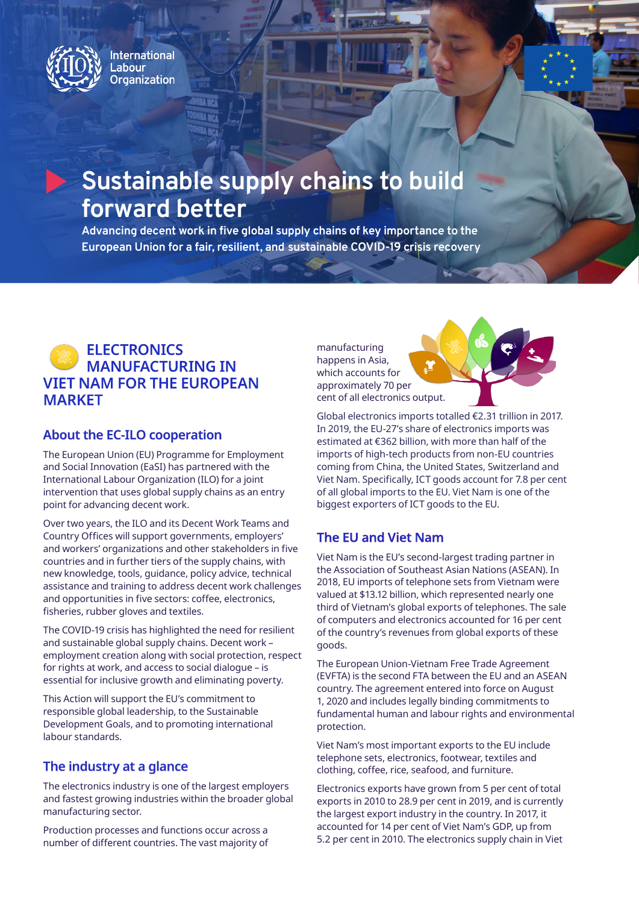

**International** .abour **Organization** 

# **Sustainable supply chains to build forward better**

**Advancing decent work in five global supply chains of key importance to the European Union for a fair, resilient, and sustainable COVID-19 crisis recovery**

# **ELECTRONICS MANUFACTURING IN VIET NAM FOR THE EUROPEAN MARKET**

### **About the EC-ILO cooperation**

The European Union (EU) Programme for Employment and Social Innovation (EaSI) has partnered with the International Labour Organization (ILO) for a joint intervention that uses global supply chains as an entry point for advancing decent work.

Over two years, the ILO and its Decent Work Teams and Country Offices will support governments, employers' and workers' organizations and other stakeholders in five countries and in further tiers of the supply chains, with new knowledge, tools, guidance, policy advice, technical assistance and training to address decent work challenges and opportunities in five sectors: coffee, electronics, fisheries, rubber gloves and textiles.

The COVID-19 crisis has highlighted the need for resilient and sustainable global supply chains. Decent work – employment creation along with social protection, respect for rights at work, and access to social dialogue – is essential for inclusive growth and eliminating poverty.

This Action will support the EU's commitment to responsible global leadership, to the Sustainable Development Goals, and to promoting international labour standards.

### **The industry at a glance**

The electronics industry is one of the largest employers and fastest growing industries within the broader global manufacturing sector.

Production processes and functions occur across a number of different countries. The vast majority of manufacturing happens in Asia, which accounts for approximately 70 per cent of all electronics output.



Global electronics imports totalled €2.31 trillion in 2017. In 2019, the EU-27's share of electronics imports was estimated at €362 billion, with more than half of the imports of high-tech products from non-EU countries coming from China, the United States, Switzerland and Viet Nam. Specifically, ICT goods account for 7.8 per cent of all global imports to the EU. Viet Nam is one of the biggest exporters of ICT goods to the EU.

# **The EU and Viet Nam**

Viet Nam is the EU's second-largest trading partner in the Association of Southeast Asian Nations (ASEAN). In 2018, EU imports of telephone sets from Vietnam were valued at \$13.12 billion, which represented nearly one third of Vietnam's global exports of telephones. The sale of computers and electronics accounted for 16 per cent of the country's revenues from global exports of these goods.

The European Union-Vietnam Free Trade Agreement (EVFTA) is the second FTA between the EU and an ASEAN country. The agreement entered into force on August 1, 2020 and includes legally binding commitments to fundamental human and labour rights and environmental protection.

Viet Nam's most important exports to the EU include telephone sets, electronics, footwear, textiles and clothing, coffee, rice, seafood, and furniture.

Electronics exports have grown from 5 per cent of total exports in 2010 to 28.9 per cent in 2019, and is currently the largest export industry in the country. In 2017, it accounted for 14 per cent of Viet Nam's GDP, up from 5.2 per cent in 2010. The electronics supply chain in Viet